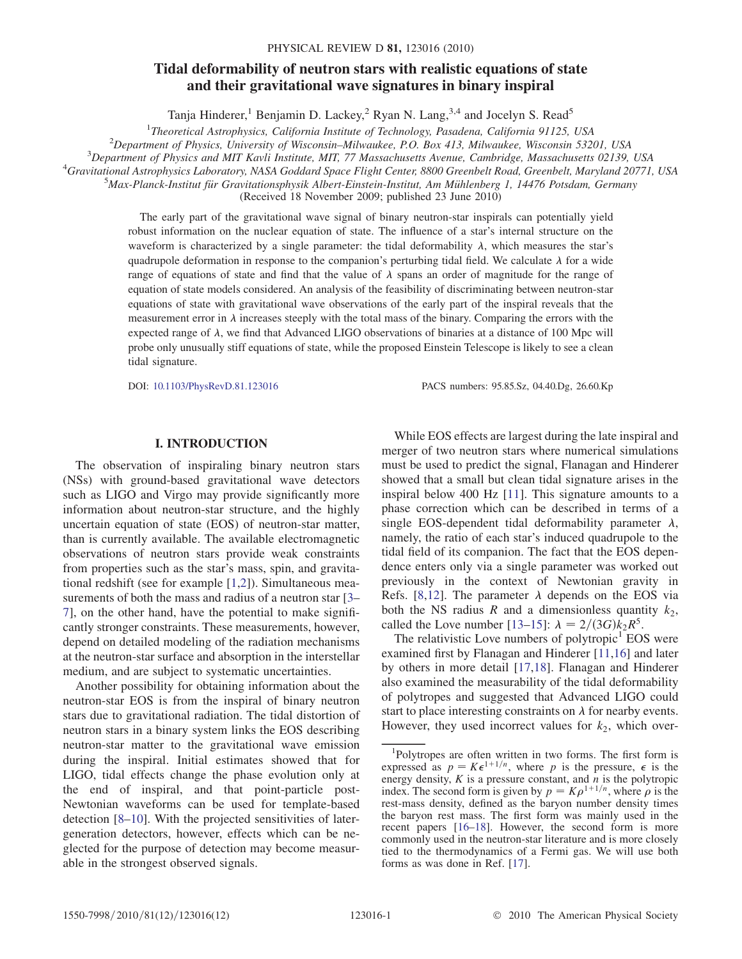# Tidal deformability of neutron stars with realistic equations of state and their gravitational wave signatures in binary inspiral

Tanja Hinderer,<sup>1</sup> Benjamin D. Lackey,<sup>2</sup> Ryan N. Lang,<sup>3,4</sup> and Jocelyn S. Read<sup>5</sup>

<sup>1</sup>Theoretical Astrophysics, California Institute of Technology, Pasadena, California 91125, USA<br><sup>2</sup>Department of Physics, University of Wisconsin, Milyaukee, P.O. Box 413, Milyaukee, Wisconsin, 5320

 $\Omega$ Pepartment of Physics, University of Wisconsin–Milwaukee, P.O. Box 413, Milwaukee, Wisconsin 53201, USA

 ${}^{3}$ Department of Physics and MIT Kavli Institute, MIT, 77 Massachusetts Avenue, Cambridge, Massachusetts 02139, USA

 $^4$ Gravitational Astrophysics Laboratory, NASA Goddard Space Flight Center, 8800 Greenbelt Road, Greenbelt, Maryland 20771, USA  $^5$ Max-Planck-Institut für Gravitationsphysik Albert-Einstein-Institut, Am Mühlenberg 1, 14476 Potsdam, Germany

(Received 18 November 2009; published 23 June 2010)

The early part of the gravitational wave signal of binary neutron-star inspirals can potentially yield robust information on the nuclear equation of state. The influence of a star's internal structure on the waveform is characterized by a single parameter: the tidal deformability  $\lambda$ , which measures the star's quadrupole deformation in response to the companion's perturbing tidal field. We calculate  $\lambda$  for a wide range of equations of state and find that the value of  $\lambda$  spans an order of magnitude for the range of equation of state models considered. An analysis of the feasibility of discriminating between neutron-star equations of state with gravitational wave observations of the early part of the inspiral reveals that the measurement error in  $\lambda$  increases steeply with the total mass of the binary. Comparing the errors with the expected range of  $\lambda$ , we find that Advanced LIGO observations of binaries at a distance of 100 Mpc will probe only unusually stiff equations of state, while the proposed Einstein Telescope is likely to see a clean tidal signature.

DOI: [10.1103/PhysRevD.81.123016](http://dx.doi.org/10.1103/PhysRevD.81.123016) PACS numbers: 95.85.Sz, 04.40.Dg, 26.60.Kp

#### I. INTRODUCTION

The observation of inspiraling binary neutron stars (NSs) with ground-based gravitational wave detectors such as LIGO and Virgo may provide significantly more information about neutron-star structure, and the highly uncertain equation of state (EOS) of neutron-star matter, than is currently available. The available electromagnetic observations of neutron stars provide weak constraints from properties such as the star's mass, spin, and gravitational redshift (see for example [\[1](#page-10-0)[,2\]](#page-10-1)). Simultaneous measurements of both the mass and radius of a neutron star [[3–](#page-10-2) [7](#page-11-0)], on the other hand, have the potential to make significantly stronger constraints. These measurements, however, depend on detailed modeling of the radiation mechanisms at the neutron-star surface and absorption in the interstellar medium, and are subject to systematic uncertainties.

Another possibility for obtaining information about the neutron-star EOS is from the inspiral of binary neutron stars due to gravitational radiation. The tidal distortion of neutron stars in a binary system links the EOS describing neutron-star matter to the gravitational wave emission during the inspiral. Initial estimates showed that for LIGO, tidal effects change the phase evolution only at the end of inspiral, and that point-particle post-Newtonian waveforms can be used for template-based detection [\[8–](#page-11-1)[10](#page-11-2)]. With the projected sensitivities of latergeneration detectors, however, effects which can be neglected for the purpose of detection may become measurable in the strongest observed signals.

While EOS effects are largest during the late inspiral and merger of two neutron stars where numerical simulations must be used to predict the signal, Flanagan and Hinderer showed that a small but clean tidal signature arises in the inspiral below 400 Hz [[11](#page-11-3)]. This signature amounts to a phase correction which can be described in terms of a single EOS-dependent tidal deformability parameter  $\lambda$ , namely, the ratio of each star's induced quadrupole to the tidal field of its companion. The fact that the EOS dependence enters only via a single parameter was worked out previously in the context of Newtonian gravity in Refs. [[8,](#page-11-1)[12](#page-11-4)]. The parameter  $\lambda$  depends on the EOS via both the NS radius R and a dimensionless quantity  $k_2$ , called the Love number [[13](#page-11-5)–[15](#page-11-6)]:  $\lambda = 2/(3G)k_2R^5$ .

The relativistic Love numbers of polytropic<sup>1</sup> EOS were examined first by Flanagan and Hinderer [[11,](#page-11-3)[16](#page-11-7)] and later by others in more detail [[17](#page-11-8),[18](#page-11-9)]. Flanagan and Hinderer also examined the measurability of the tidal deformability of polytropes and suggested that Advanced LIGO could start to place interesting constraints on  $\lambda$  for nearby events. However, they used incorrect values for  $k_2$ , which over-

<sup>1</sup> Polytropes are often written in two forms. The first form is expressed as  $p = Ke^{1+1/n}$ , where p is the pressure,  $\epsilon$  is the energy density. K is a pressure constant, and p is the polytropic energy density,  $K$  is a pressure constant, and  $n$  is the polytropic index. The second form is given by  $p = K \rho^{1+1/n}$ , where  $\rho$  is the rest-mass density, defined as the baryon number density times the baryon rest mass. The first form was mainly used in the recent papers [[16](#page-11-7)–[18](#page-11-9)]. However, the second form is more commonly used in the neutron-star literature and is more closely tied to the thermodynamics of a Fermi gas. We will use both forms as was done in Ref. [[17](#page-11-8)].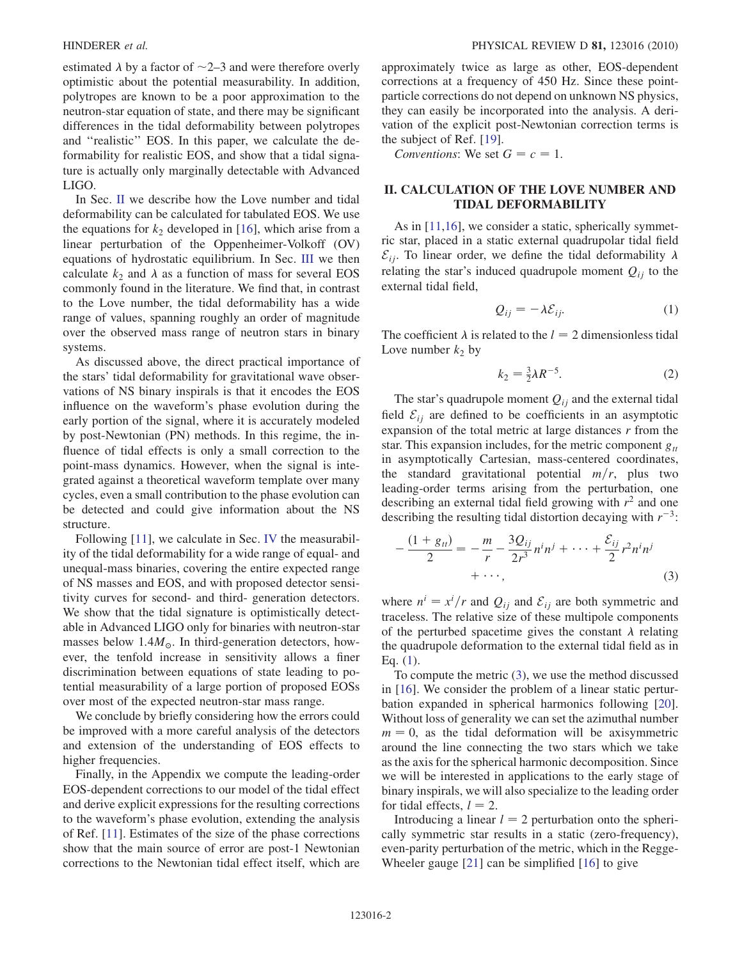estimated  $\lambda$  by a factor of  $\sim$  2–3 and were therefore overly optimistic about the potential measurability. In addition, polytropes are known to be a poor approximation to the neutron-star equation of state, and there may be significant differences in the tidal deformability between polytropes and ''realistic'' EOS. In this paper, we calculate the deformability for realistic EOS, and show that a tidal signature is actually only marginally detectable with Advanced LIGO.

In Sec. II we describe how the Love number and tidal deformability can be calculated for tabulated EOS. We use the equations for  $k_2$  developed in [\[16\]](#page-11-7), which arise from a linear perturbation of the Oppenheimer-Volkoff (OV) equations of hydrostatic equilibrium. In Sec. III we then calculate  $k_2$  and  $\lambda$  as a function of mass for several EOS commonly found in the literature. We find that, in contrast to the Love number, the tidal deformability has a wide range of values, spanning roughly an order of magnitude over the observed mass range of neutron stars in binary systems.

As discussed above, the direct practical importance of the stars' tidal deformability for gravitational wave observations of NS binary inspirals is that it encodes the EOS influence on the waveform's phase evolution during the early portion of the signal, where it is accurately modeled by post-Newtonian (PN) methods. In this regime, the influence of tidal effects is only a small correction to the point-mass dynamics. However, when the signal is integrated against a theoretical waveform template over many cycles, even a small contribution to the phase evolution can be detected and could give information about the NS structure.

Following [\[11\]](#page-11-3), we calculate in Sec. IV the measurability of the tidal deformability for a wide range of equal- and unequal-mass binaries, covering the entire expected range of NS masses and EOS, and with proposed detector sensitivity curves for second- and third- generation detectors. We show that the tidal signature is optimistically detectable in Advanced LIGO only for binaries with neutron-star masses below  $1.4M_{\odot}$ . In third-generation detectors, how-<br>ever the tenfold increase in sensitivity allows a finer ever, the tenfold increase in sensitivity allows a finer discrimination between equations of state leading to potential measurability of a large portion of proposed EOSs over most of the expected neutron-star mass range.

We conclude by briefly considering how the errors could be improved with a more careful analysis of the detectors and extension of the understanding of EOS effects to higher frequencies.

Finally, in the Appendix we compute the leading-order EOS-dependent corrections to our model of the tidal effect and derive explicit expressions for the resulting corrections to the waveform's phase evolution, extending the analysis of Ref. [\[11\]](#page-11-3). Estimates of the size of the phase corrections show that the main source of error are post-1 Newtonian corrections to the Newtonian tidal effect itself, which are approximately twice as large as other, EOS-dependent corrections at a frequency of 450 Hz. Since these pointparticle corrections do not depend on unknown NS physics, they can easily be incorporated into the analysis. A derivation of the explicit post-Newtonian correction terms is the subject of Ref. [[19](#page-11-10)].

Conventions: We set  $G = c = 1$ .

### II. CALCULATION OF THE LOVE NUMBER AND TIDAL DEFORMABILITY

As in [\[11,](#page-11-3)[16\]](#page-11-7), we consider a static, spherically symmetric star, placed in a static external quadrupolar tidal field  $\mathcal{E}_{ij}$ . To linear order, we define the tidal deformability  $\lambda$ relating the star's induced quadrupole moment  $Q_{ij}$  to the external tidal field,

$$
Q_{ij} = -\lambda \mathcal{E}_{ij}.
$$
 (1)

<span id="page-1-0"></span>The coefficient  $\lambda$  is related to the  $l = 2$  dimensionless tidal Love number  $k_2$  by

$$
k_2 = \frac{3}{2}\lambda R^{-5}.\tag{2}
$$

The star's quadrupole moment  $Q_{ij}$  and the external tidal field  $\mathcal{E}_{ij}$  are defined to be coefficients in an asymptotic expansion of the total metric at large distances  $r$  from the star. This expansion includes, for the metric component  $g_{tt}$ in asymptotically Cartesian, mass-centered coordinates, the standard gravitational potential  $m/r$ , plus two leading-order terms arising from the perturbation, one describing an external tidal field growing with  $r<sup>2</sup>$  and one describing the resulting tidal distortion decaying with  $r^{-3}$ :

<span id="page-1-1"></span>
$$
-\frac{(1+g_{tt})}{2} = -\frac{m}{r} - \frac{3Q_{ij}}{2r^3}n^in^j + \dots + \frac{\mathcal{E}_{ij}}{2}r^2n^in^j + \dots,
$$
\n(3)

where  $n^i = x^i/r$  and  $Q_{ij}$  and  $\mathcal{E}_{ij}$  are both symmetric and traceless. The relative size of these multipole components traceless. The relative size of these multipole components of the perturbed spacetime gives the constant  $\lambda$  relating the quadrupole deformation to the external tidal field as in Eq. ([1\)](#page-1-0).

To compute the metric ([3\)](#page-1-1), we use the method discussed in [[16](#page-11-7)]. We consider the problem of a linear static perturbation expanded in spherical harmonics following [\[20\]](#page-11-11). Without loss of generality we can set the azimuthal number  $m = 0$ , as the tidal deformation will be axisymmetric around the line connecting the two stars which we take as the axis for the spherical harmonic decomposition. Since we will be interested in applications to the early stage of binary inspirals, we will also specialize to the leading order for tidal effects,  $l = 2$ .

Introducing a linear  $l = 2$  perturbation onto the spherically symmetric star results in a static (zero-frequency), even-parity perturbation of the metric, which in the Regge-Wheeler gauge [\[21](#page-11-12)] can be simplified [\[16](#page-11-7)] to give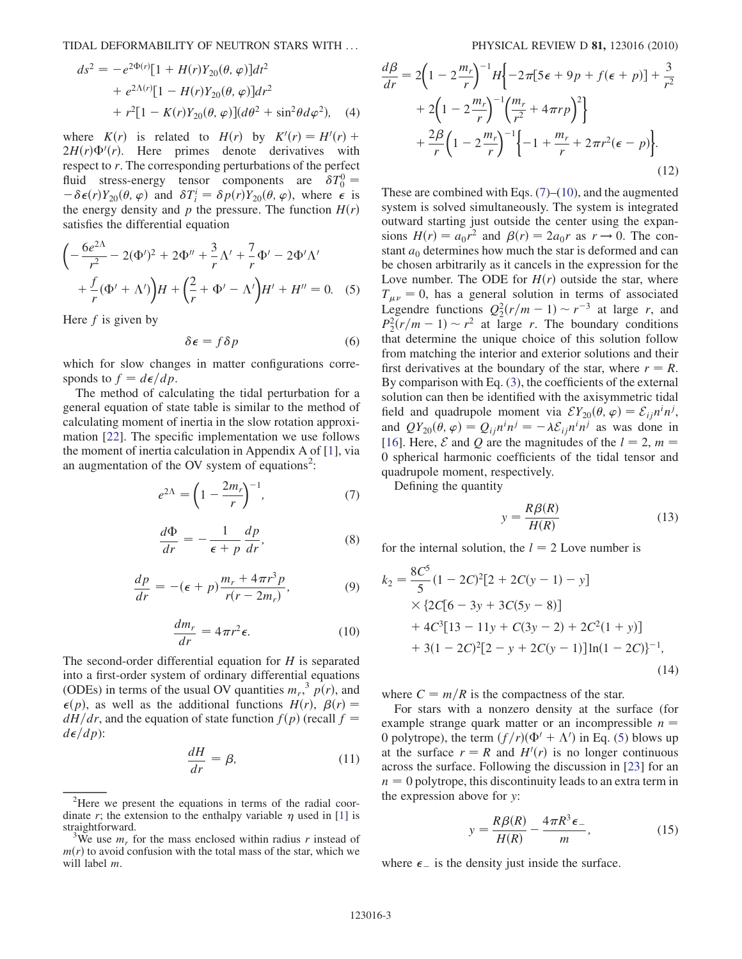TIDAL DEFORMABILITY OF NEUTRON STARS WITH ... PHYSICAL REVIEW D 81, 123016 (2010)

$$
ds^{2} = -e^{2\Phi(r)}[1 + H(r)Y_{20}(\theta, \varphi)]dt^{2}
$$
  
+  $e^{2\Lambda(r)}[1 - H(r)Y_{20}(\theta, \varphi)]dr^{2}$   
+  $r^{2}[1 - K(r)Y_{20}(\theta, \varphi)](d\theta^{2} + \sin^{2}\theta d\varphi^{2}),$  (4)

where  $K(r)$  is related to  $H(r)$  by  $K'(r) = H'(r) + 2H(r)\Phi'(r)$ . Here primes denote derivatives with  $2H(r)\Phi'(r)$ . Here primes denote derivatives with respect to r. The corresponding perturbations of the perfect respect to r. The corresponding perturbations of the perfect fluid stress-energy tensor components are  $\delta T_0^0 =$ Thuid sitess-energy tensor components are  $\sigma r_0 = -\delta \epsilon(r) Y_{20}(\theta, \varphi)$  and  $\delta T_i^i = \delta p(r) Y_{20}(\theta, \varphi)$ , where  $\epsilon$  is<br>the energy density and *n* the pressure. The function  $H(r)$ the energy density and p the pressure. The function  $H(r)$ satisfies the differential equation

<span id="page-2-2"></span>
$$
\left(-\frac{6e^{2\Lambda}}{r^2} - 2(\Phi')^2 + 2\Phi'' + \frac{3}{r}\Lambda' + \frac{7}{r}\Phi' - 2\Phi'\Lambda' + \frac{f}{r}(\Phi' + \Lambda')\right)H + \left(\frac{2}{r} + \Phi' - \Lambda'\right)H' + H'' = 0.
$$
 (5)

Here  $f$  is given by

$$
\delta \epsilon = f \delta p \tag{6}
$$

which for slow changes in matter configurations corresponds to  $f = d\epsilon/dp$ .<br>The method of calc

The method of calculating the tidal perturbation for a general equation of state table is similar to the method of calculating moment of inertia in the slow rotation approximation [\[22\]](#page-11-13). The specific implementation we use follows the moment of inertia calculation in Appendix A of [[1\]](#page-10-0), via an augmentation of the OV system of equations<sup>2</sup>:

$$
e^{2\Lambda} = \left(1 - \frac{2m_r}{r}\right)^{-1},\tag{7}
$$

$$
\frac{d\Phi}{dr} = -\frac{1}{\epsilon + p} \frac{dp}{dr},\tag{8}
$$

<span id="page-2-1"></span>
$$
\frac{dp}{dr} = -(\epsilon + p)\frac{m_r + 4\pi r^3 p}{r(r - 2m_r)},\tag{9}
$$

$$
\frac{dm_r}{dr} = 4\pi r^2 \epsilon. \tag{10}
$$

<span id="page-2-0"></span>The second-order differential equation for  $H$  is separated into a first-order system of ordinary differential equations (ODEs) in terms of the usual OV quantities  $m_r^3 p(r)$ , and  $\epsilon(n)$  as well as the additional functions  $H(r) R(r) =$  $\epsilon(p)$ , as well as the additional functions  $H(r)$ ,  $\beta(r) =$ <br>dH/dr and the equation of state function  $f(p)$  (recall  $f =$  $dH/dr$ , and the equation of state function  $f(p)$  (recall  $f =$  $d\epsilon/dp$ :

$$
\frac{dH}{dr} = \beta,\tag{11}
$$

$$
\frac{d\beta}{dr} = 2\left(1 - 2\frac{m_r}{r}\right)^{-1} H \left\{-2\pi [5\epsilon + 9p + f(\epsilon + p)] + \frac{3}{r^2} + 2\left(1 - 2\frac{m_r}{r}\right)^{-1} \left(\frac{m_r}{r^2} + 4\pi r p\right)^2\right\} + \frac{2\beta}{r} \left(1 - 2\frac{m_r}{r}\right)^{-1} \left\{-1 + \frac{m_r}{r} + 2\pi r^2(\epsilon - p)\right\}.
$$
\n(12)

These are combined with Eqs.  $(7)$ – $(10)$  $(10)$  $(10)$ , and the augmented system is solved simultaneously. The system is integrated outward starting just outside the center using the expansions  $H(r) = a_0r^2$  and  $\beta(r) = 2a_0r$  as  $r \rightarrow 0$ . The constant  $a_0$  determines how much the star is deformed and can be chosen arbitrarily as it cancels in the expression for the Love number. The ODE for  $H(r)$  outside the star, where  $T_{\mu\nu} = 0$ , has a general solution in terms of associated Legendre functions  $Q_2^2(r/m-1) \sim r^{-3}$  at large r, and  $P_2^2(r/m-1) \sim r^2$  at large r. The boundary conditions  $P_2^2(r/m-1) \sim r^2$  at large r. The boundary conditions<br>that determine the unique choice of this solution follow that determine the unique choice of this solution follow from matching the interior and exterior solutions and their first derivatives at the boundary of the star, where  $r = R$ . By comparison with Eq. [\(3](#page-1-1)), the coefficients of the external solution can then be identified with the axisymmetric tidal field and quadrupole moment via  $\mathcal{E}Y_{20}(\theta, \varphi) = \mathcal{E}_{ij}n^i n^j$ ,<br>and  $QY_{12}(\theta, \varphi) = Q_{11}n^i n^j = -\lambda \mathcal{E}_{11}n^i n^j$  as was done in and  $QY_{20}(\theta, \varphi) = Q_{ij}n^in^j = -\lambda \mathcal{E}_{ij}n^in^j$  as was done in [\[16\]](#page-11-7). Here,  $\mathcal E$  and  $\mathcal Q$  are the magnitudes of the  $l = 2$ ,  $m =$ 0 spherical harmonic coefficients of the tidal tensor and quadrupole moment, respectively.

Defining the quantity

$$
y = \frac{R\beta(R)}{H(R)}\tag{13}
$$

<span id="page-2-3"></span>for the internal solution, the  $l = 2$  Love number is

$$
k_2 = \frac{8C^5}{5} (1 - 2C)^2 [2 + 2C(y - 1) - y]
$$
  
× {2C[6 - 3y + 3C(5y - 8)]  
+ 4C<sup>3</sup>[13 - 11y + C(3y - 2) + 2C<sup>2</sup>(1 + y)]  
+ 3(1 - 2C)<sup>2</sup>[2 - y + 2C(y - 1)]ln(1 - 2C)<sup>-1</sup>, (14)

where  $C = m/R$  is the compactness of the star.

For stars with a nonzero density at the surface (for example strange quark matter or an incompressible  $n =$ 0 polytrope), the term  $(f/r)(\Phi' + \Lambda')$  in Eq. [\(5](#page-2-2)) blows up<br>at the surface  $r = R$  and  $H'(r)$  is no longer continuous at the surface  $r = R$  and  $H'(r)$  is no longer continuous<br>across the surface. Following the discussion in [23] for an across the surface. Following the discussion in [\[23\]](#page-11-14) for an  $n = 0$  polytrope, this discontinuity leads to an extra term in the expression above for y:

$$
y = \frac{R\beta(R)}{H(R)} - \frac{4\pi R^3 \epsilon_-}{m},\tag{15}
$$

where  $\epsilon_{-}$  is the density just inside the surface.

<sup>&</sup>lt;sup>2</sup>Here we present the equations in terms of the radial coordinate r; the extension to the enthalpy variable  $\eta$  used in [[1\]](#page-10-0) is straightforward.

<sup>&</sup>lt;sup>3</sup>We use  $m_r$  for the mass enclosed within radius r instead of  $m(r)$  to avoid confusion with the total mass of the star, which we will label m.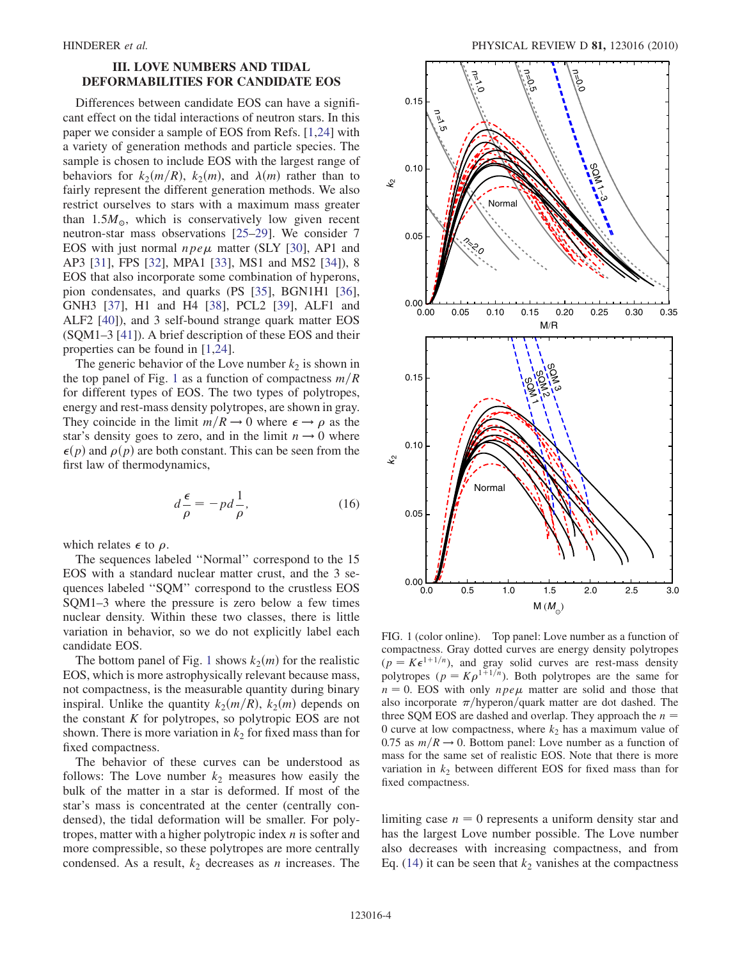## III. LOVE NUMBERS AND TIDAL DEFORMABILITIES FOR CANDIDATE EOS

Differences between candidate EOS can have a significant effect on the tidal interactions of neutron stars. In this paper we consider a sample of EOS from Refs. [\[1](#page-10-0),[24](#page-11-15)] with a variety of generation methods and particle species. The sample is chosen to include EOS with the largest range of behaviors for  $k_2(m/R)$ ,  $k_2(m)$ , and  $\lambda(m)$  rather than to fairly represent the different generation methods. We also restrict ourselves to stars with a maximum mass greater than  $1.5M_{\odot}$ , which is conservatively low given recent<br>neutron-star mass observations [25, 29]. We consider 7 neutron-star mass observations [[25](#page-11-16)–[29](#page-11-17)]. We consider 7 EOS with just normal  $npe\mu$  matter (SLY [\[30\]](#page-11-18), AP1 and AP3 [[31](#page-11-19)], FPS [[32](#page-11-20)], MPA1 [\[33\]](#page-11-21), MS1 and MS2 [\[34](#page-11-22)]), 8 EOS that also incorporate some combination of hyperons, pion condensates, and quarks (PS [\[35\]](#page-11-23), BGN1H1 [\[36\]](#page-11-24), GNH3 [[37](#page-11-25)], H1 and H4 [[38](#page-11-26)], PCL2 [[39](#page-11-27)], ALF1 and ALF2 [\[40\]](#page-11-28)), and 3 self-bound strange quark matter EOS (SQM1–3 [[41\]](#page-11-29)). A brief description of these EOS and their properties can be found in [[1](#page-10-0)[,24\]](#page-11-15).

The generic behavior of the Love number  $k_2$  is shown in the top panel of Fig. [1](#page-3-0) as a function of compactness  $m/R$ for different types of EOS. The two types of polytropes, energy and rest-mass density polytropes, are shown in gray. They coincide in the limit  $m/R \to 0$  where  $\epsilon \to \rho$  as the star's density goes to zero, and in the limit  $n \to 0$  where star's density goes to zero, and in the limit  $n \rightarrow 0$  where  $\epsilon(p)$  and  $\rho(p)$  are both constant. This can be seen from the first law of thermodynamics first law of thermodynamics,

$$
d\frac{\epsilon}{\rho} = -pd\frac{1}{\rho},\tag{16}
$$

which relates  $\epsilon$  to  $\rho$ .

The sequences labeled ''Normal'' correspond to the 15 EOS with a standard nuclear matter crust, and the 3 sequences labeled ''SQM'' correspond to the crustless EOS SQM1–3 where the pressure is zero below a few times nuclear density. Within these two classes, there is little variation in behavior, so we do not explicitly label each candidate EOS.

The bottom panel of Fig. [1](#page-3-0) shows  $k_2(m)$  for the realistic EOS, which is more astrophysically relevant because mass, not compactness, is the measurable quantity during binary inspiral. Unlike the quantity  $k_2(m/R), k_2(m)$  depends on the constant  $K$  for polytropes, so polytropic EOS are not shown. There is more variation in  $k_2$  for fixed mass than for fixed compactness.

The behavior of these curves can be understood as follows: The Love number  $k_2$  measures how easily the bulk of the matter in a star is deformed. If most of the star's mass is concentrated at the center (centrally condensed), the tidal deformation will be smaller. For polytropes, matter with a higher polytropic index n is softer and more compressible, so these polytropes are more centrally condensed. As a result,  $k_2$  decreases as *n* increases. The

<span id="page-3-0"></span>

FIG. 1 (color online). Top panel: Love number as a function of compactness. Gray dotted curves are energy density polytropes  $(p = Ke^{1+1/n})$ , and gray solid curves are rest-mass density<br>nolytrones  $(p = Ka^{1+1/n})$ . Both polytrones are the same for polytropes ( $p = K \rho^{1+1/n}$ ). Both polytropes are the same for  $n = 0$ . EOS with only  $npe\mu$  matter are solid and those that also incorporate  $\pi$ /hyperon/quark matter are dot dashed. The three SQM EOS are dashed and overlap. They approach the  $n =$ 0 curve at low compactness, where  $k_2$  has a maximum value of 0.75 as  $m/R \rightarrow 0$ . Bottom panel: Love number as a function of mass for the same set of realistic EOS. Note that there is more variation in  $k_2$  between different EOS for fixed mass than for fixed compactness.

limiting case  $n = 0$  represents a uniform density star and has the largest Love number possible. The Love number also decreases with increasing compactness, and from Eq. [\(14\)](#page-2-3) it can be seen that  $k_2$  vanishes at the compactness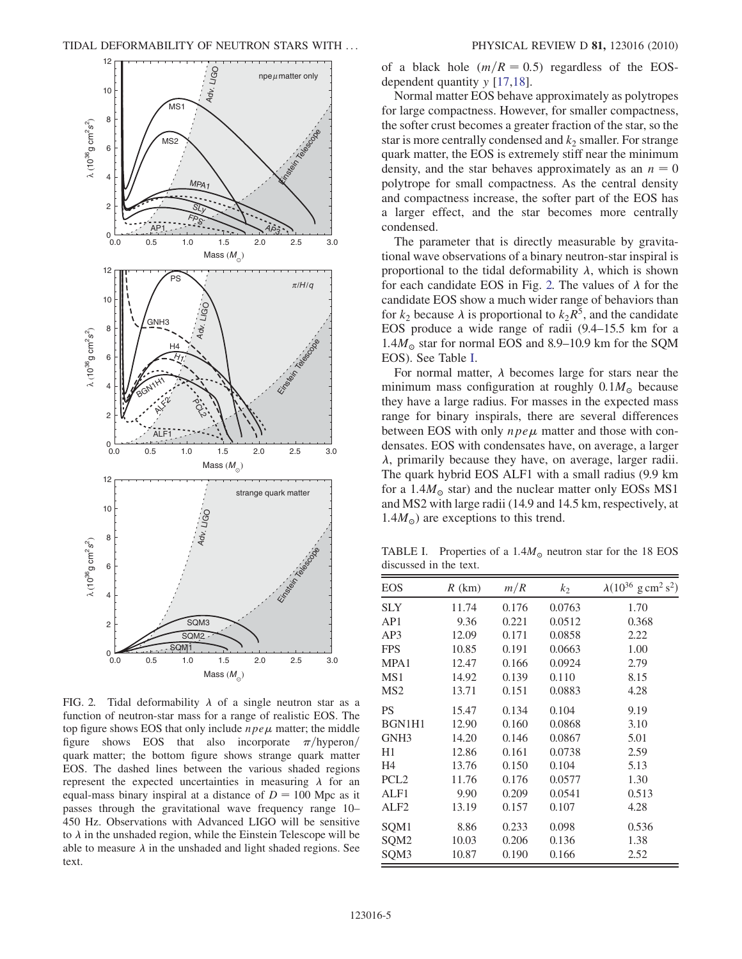<span id="page-4-0"></span>

FIG. 2. Tidal deformability  $\lambda$  of a single neutron star as a function of neutron-star mass for a range of realistic EOS. The top figure shows EOS that only include  $npe\mu$  matter; the middle figure shows EOS that also incorporate  $\pi$ /hyperon/ quark matter; the bottom figure shows strange quark matter EOS. The dashed lines between the various shaded regions represent the expected uncertainties in measuring  $\lambda$  for an equal-mass binary inspiral at a distance of  $D = 100$  Mpc as it passes through the gravitational wave frequency range 10– 450 Hz. Observations with Advanced LIGO will be sensitive to  $\lambda$  in the unshaded region, while the Einstein Telescope will be able to measure  $\lambda$  in the unshaded and light shaded regions. See text.

of a black hole  $(m/R = 0.5)$  regardless of the EOSdependent quantity y [\[17,](#page-11-8)[18\]](#page-11-9).

Normal matter EOS behave approximately as polytropes for large compactness. However, for smaller compactness, the softer crust becomes a greater fraction of the star, so the star is more centrally condensed and  $k<sub>2</sub>$  smaller. For strange quark matter, the EOS is extremely stiff near the minimum density, and the star behaves approximately as an  $n = 0$ polytrope for small compactness. As the central density and compactness increase, the softer part of the EOS has a larger effect, and the star becomes more centrally condensed.

The parameter that is directly measurable by gravitational wave observations of a binary neutron-star inspiral is proportional to the tidal deformability  $\lambda$ , which is shown for each candidate EOS in Fig. [2.](#page-4-0) The values of  $\lambda$  for the candidate EOS show a much wider range of behaviors than for  $k_2$  because  $\lambda$  is proportional to  $k_2R^5$ , and the candidate EOS produce a wide range of radii (9.4–15.5 km for a  $1.4M_{\odot}$  star for normal EOS and 8.9–10.9 km for the SQM<br>EOS). See Toble I EOS). See Table [I.](#page-4-1)

For normal matter,  $\lambda$  becomes large for stars near the minimum mass configuration at roughly  $0.1M_{\odot}$  because<br>they have a large radius. For masses in the expected mass they have a large radius. For masses in the expected mass range for binary inspirals, there are several differences between EOS with only  $npe\mu$  matter and those with condensates. EOS with condensates have, on average, a larger  $\lambda$ , primarily because they have, on average, larger radii. The quark hybrid EOS ALF1 with a small radius (9.9 km for a  $1.4M_{\odot}$  star) and the nuclear matter only EOSs MS1<br>and MS2 with large radii (14.9 and 14.5 km respectively at and MS2 with large radii (14.9 and 14.5 km, respectively, at  $1.4M_{\odot}$ ) are exceptions to this trend.

<span id="page-4-1"></span>TABLE I. Properties of a  $1.4M_{\odot}$  neutron star for the 18 EOS<br>discussed in the text discussed in the text.

| EOS              | $R$ (km) | m/R   | $k_2$  | $\lambda(10^{36}$<br>$g \text{ cm}^2 \text{ s}^2$ |
|------------------|----------|-------|--------|---------------------------------------------------|
| <b>SLY</b>       | 11.74    | 0.176 | 0.0763 | 1.70                                              |
| AP1              | 9.36     | 0.221 | 0.0512 | 0.368                                             |
| AP3              | 12.09    | 0.171 | 0.0858 | 2.22                                              |
| <b>FPS</b>       | 10.85    | 0.191 | 0.0663 | 1.00                                              |
| MPA1             | 12.47    | 0.166 | 0.0924 | 2.79                                              |
| MS1              | 14.92    | 0.139 | 0.110  | 8.15                                              |
| MS <sub>2</sub>  | 13.71    | 0.151 | 0.0883 | 4.28                                              |
| <b>PS</b>        | 15.47    | 0.134 | 0.104  | 9.19                                              |
| BGN1H1           | 12.90    | 0.160 | 0.0868 | 3.10                                              |
| GNH <sub>3</sub> | 14.20    | 0.146 | 0.0867 | 5.01                                              |
| H1               | 12.86    | 0.161 | 0.0738 | 2.59                                              |
| H4               | 13.76    | 0.150 | 0.104  | 5.13                                              |
| PCL <sub>2</sub> | 11.76    | 0.176 | 0.0577 | 1.30                                              |
| ALF1             | 9.90     | 0.209 | 0.0541 | 0.513                                             |
| ALF <sub>2</sub> | 13.19    | 0.157 | 0.107  | 4.28                                              |
| SQM1             | 8.86     | 0.233 | 0.098  | 0.536                                             |
| SQM <sub>2</sub> | 10.03    | 0.206 | 0.136  | 1.38                                              |
| SQM3             | 10.87    | 0.190 | 0.166  | 2.52                                              |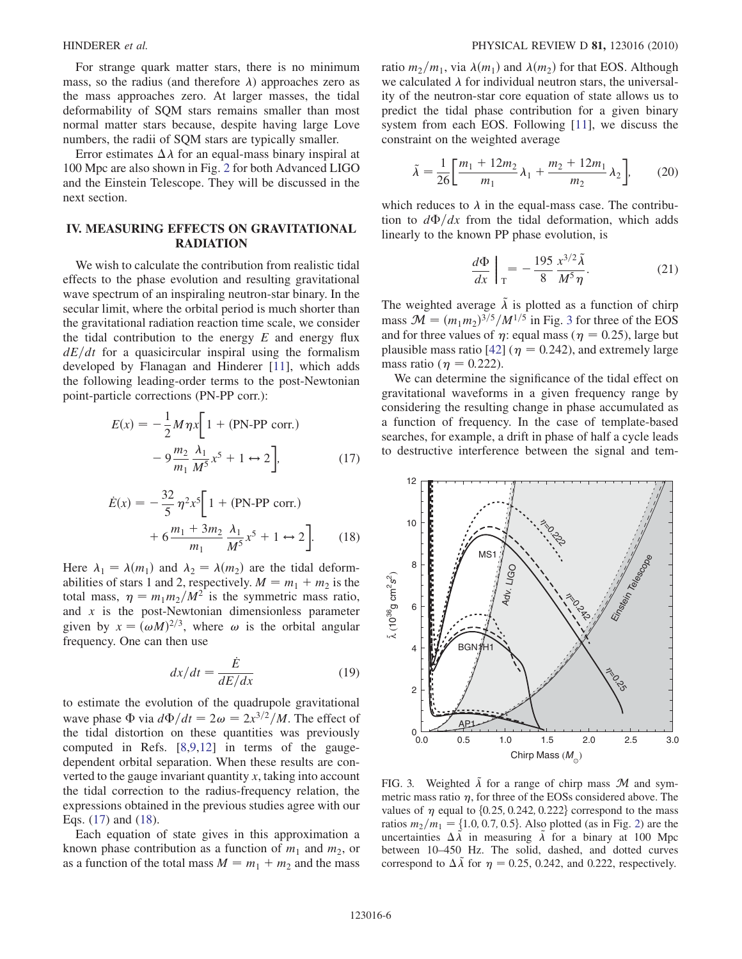For strange quark matter stars, there is no minimum mass, so the radius (and therefore  $\lambda$ ) approaches zero as the mass approaches zero. At larger masses, the tidal deformability of SQM stars remains smaller than most normal matter stars because, despite having large Love numbers, the radii of SQM stars are typically smaller.

Error estimates  $\Delta \lambda$  for an equal-mass binary inspiral at 100 Mpc are also shown in Fig. [2](#page-4-0) for both Advanced LIGO and the Einstein Telescope. They will be discussed in the next section.

## IV. MEASURING EFFECTS ON GRAVITATIONAL RADIATION

We wish to calculate the contribution from realistic tidal effects to the phase evolution and resulting gravitational wave spectrum of an inspiraling neutron-star binary. In the secular limit, where the orbital period is much shorter than the gravitational radiation reaction time scale, we consider the tidal contribution to the energy  $E$  and energy flux  $dE/dt$  for a quasicircular inspiral using the formalism developed by Flanagan and Hinderer [\[11\]](#page-11-3), which adds the following leading-order terms to the post-Newtonian point-particle corrections (PN-PP corr.):

<span id="page-5-1"></span>
$$
E(x) = -\frac{1}{2}M\eta x \Bigg[ 1 + (\text{PN-PP corr.}) -9\frac{m_2}{m_1} \frac{\lambda_1}{M^5} x^5 + 1 \leftrightarrow 2 \Bigg],\tag{17}
$$

$$
\dot{E}(x) = -\frac{32}{5} \eta^2 x^5 \left[ 1 + (\text{PN-PP corr.}) + 6 \frac{m_1 + 3m_2}{m_1} \frac{\lambda_1}{M^5} x^5 + 1 \leftrightarrow 2 \right].
$$
 (18)

<span id="page-5-0"></span>Here  $\lambda_1 = \lambda(m_1)$  and  $\lambda_2 = \lambda(m_2)$  are the tidal deformabilities of stars 1 and 2, respectively.  $M = m_1 + m_2$  is the total mass,  $\eta = m_1 m_2 / M^2$  is the symmetric mass ratio,<br>and x is the post-Newtonian dimensionless parameter and  $x$  is the post-Newtonian dimensionless parameter given by  $x = (\omega M)^{2/3}$ , where  $\omega$  is the orbital angular frequency. One can then use frequency. One can then use

$$
dx/dt = \frac{\dot{E}}{dE/dx}
$$
 (19)

to estimate the evolution of the quadrupole gravitational wave phase  $\Phi$  via  $d\Phi/dt = 2\omega = 2x^{3/2}/M$ . The effect of the tidal distortion on these quantities was previously computed in Refs. [[8](#page-11-1),[9](#page-11-30),[12](#page-11-4)] in terms of the gaugedependent orbital separation. When these results are converted to the gauge invariant quantity x, taking into account the tidal correction to the radius-frequency relation, the expressions obtained in the previous studies agree with our Eqs. ([17](#page-5-0)) and [\(18\)](#page-5-1).

Each equation of state gives in this approximation a known phase contribution as a function of  $m_1$  and  $m_2$ , or as a function of the total mass  $M = m_1 + m_2$  and the mass ratio  $m_2/m_1$ , via  $\lambda(m_1)$  and  $\lambda(m_2)$  for that EOS. Although we calculated  $\lambda$  for individual neutron stars, the universality of the neutron-star core equation of state allows us to predict the tidal phase contribution for a given binary system from each EOS. Following [[11](#page-11-3)], we discuss the constraint on the weighted average

$$
\tilde{\lambda} = \frac{1}{26} \left[ \frac{m_1 + 12m_2}{m_1} \lambda_1 + \frac{m_2 + 12m_1}{m_2} \lambda_2 \right],\tag{20}
$$

which reduces to  $\lambda$  in the equal-mass case. The contribution to  $d\Phi/dx$  from the tidal deformation, which adds linearly to the known PP phase evolution, is

$$
\frac{d\Phi}{dx}\bigg|_{\rm T} = -\frac{195}{8} \frac{x^{3/2}\tilde{\lambda}}{M^5 \eta}.
$$
 (21)

The weighted average  $\tilde{\lambda}$  is plotted as a function of chirp mass  $\mathcal{M} = (m_1 m_2)^{3/5} / M^{1/5}$  $\mathcal{M} = (m_1 m_2)^{3/5} / M^{1/5}$  $\mathcal{M} = (m_1 m_2)^{3/5} / M^{1/5}$  in Fig. 3 for three of the EOS<br>and for three values of *n*: equal mass (*n* = 0.25), large but and for three values of  $\eta$ : equal mass ( $\eta = 0.25$ ), large but<br>plausible mass ratio [42] ( $n = 0.242$ ) and extremely large plausible mass ratio [[42](#page-11-31)] ( $\eta = 0.242$ ), and extremely large mass ratio ( $n = 0.222$ ) mass ratio ( $\eta = 0.222$ ).<br>We can determine the

We can determine the significance of the tidal effect on gravitational waveforms in a given frequency range by considering the resulting change in phase accumulated as a function of frequency. In the case of template-based searches, for example, a drift in phase of half a cycle leads to destructive interference between the signal and tem-

<span id="page-5-2"></span>

FIG. 3. Weighted  $\lambda$  for a range of chirp mass M and symmetric mass ratio  $\eta$ , for three of the EOSs considered above. The values of  $\eta$  equal to {0.25, 0.242, 0.222} correspond to the mass<br>ratios  $m_2/m_1 = \{1, 0, 0, 7, 0, 5\}$ . Also plotted (as in Fig. 2) are the ratios  $m_2/m_1 = \{1.0, 0.7, 0.5\}$  $m_2/m_1 = \{1.0, 0.7, 0.5\}$  $m_2/m_1 = \{1.0, 0.7, 0.5\}$ . Also plotted (as in Fig. 2) are the uncertainties  $\Delta \tilde{\lambda}$  in measuring  $\tilde{\lambda}$  for a binary at 100 Mpc between 10–450 Hz. The solid, dashed, and dotted curves correspond to  $\Delta \tilde{\lambda}$  for  $\eta = 0.25, 0.242,$  and 0.222, respectively.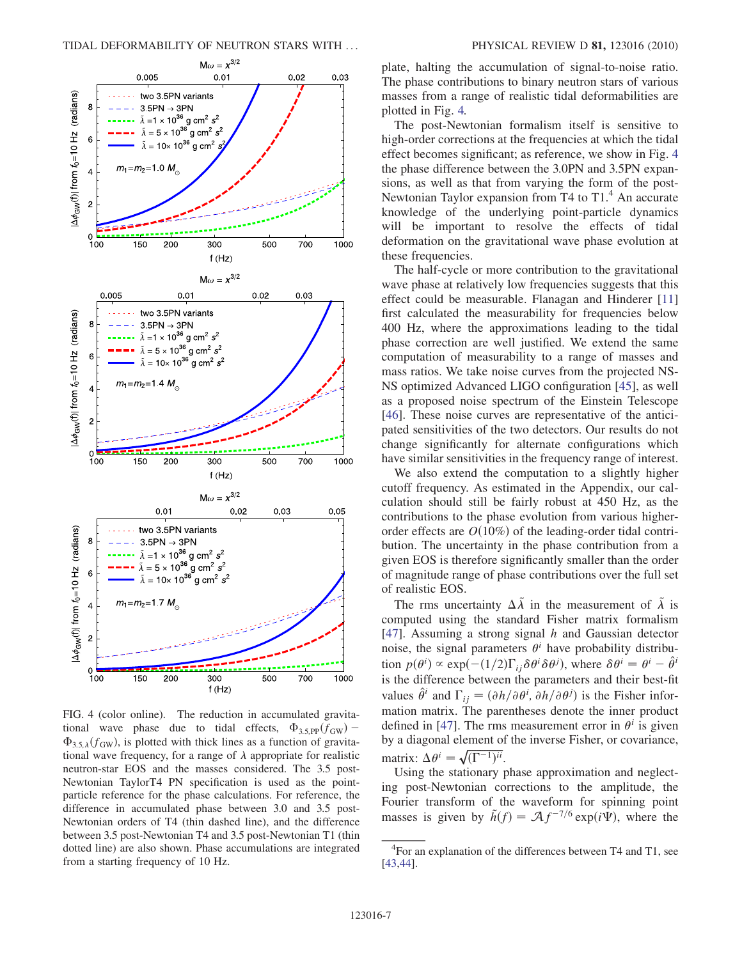<span id="page-6-0"></span>

FIG. 4 (color online). The reduction in accumulated gravitational wave phase due to tidal effects,  $\Phi_{3.5\text{ pp}}(f_{\text{GW}})$  –  $\Phi_{3.5\,\text{A}}(f_{\text{GW}})$ , is plotted with thick lines as a function of gravitational wave frequency, for a range of  $\lambda$  appropriate for realistic neutron-star EOS and the masses considered. The 3.5 post-Newtonian TaylorT4 PN specification is used as the pointparticle reference for the phase calculations. For reference, the difference in accumulated phase between 3.0 and 3.5 post-Newtonian orders of T4 (thin dashed line), and the difference between 3.5 post-Newtonian T4 and 3.5 post-Newtonian T1 (thin dotted line) are also shown. Phase accumulations are integrated from a starting frequency of 10 Hz.

plate, halting the accumulation of signal-to-noise ratio. The phase contributions to binary neutron stars of various masses from a range of realistic tidal deformabilities are plotted in Fig. [4.](#page-6-0)

The post-Newtonian formalism itself is sensitive to high-order corrections at the frequencies at which the tidal effect becomes significant; as reference, we show in Fig. [4](#page-6-0) the phase difference between the 3.0PN and 3.5PN expansions, as well as that from varying the form of the post-Newtonian Taylor expansion from T4 to  $T1<sup>4</sup>$  An accurate knowledge of the underlying point-particle dynamics will be important to resolve the effects of tidal deformation on the gravitational wave phase evolution at these frequencies.

The half-cycle or more contribution to the gravitational wave phase at relatively low frequencies suggests that this effect could be measurable. Flanagan and Hinderer [\[11\]](#page-11-3) first calculated the measurability for frequencies below 400 Hz, where the approximations leading to the tidal phase correction are well justified. We extend the same computation of measurability to a range of masses and mass ratios. We take noise curves from the projected NS-NS optimized Advanced LIGO configuration [[45](#page-11-32)], as well as a proposed noise spectrum of the Einstein Telescope [\[46\]](#page-11-33). These noise curves are representative of the anticipated sensitivities of the two detectors. Our results do not change significantly for alternate configurations which have similar sensitivities in the frequency range of interest.

We also extend the computation to a slightly higher cutoff frequency. As estimated in the Appendix, our calculation should still be fairly robust at 450 Hz, as the contributions to the phase evolution from various higherorder effects are  $O(10\%)$  of the leading-order tidal contribution. The uncertainty in the phase contribution from a given EOS is therefore significantly smaller than the order of magnitude range of phase contributions over the full set of realistic EOS.

The rms uncertainty  $\Delta \lambda$  in the measurement of  $\lambda$  is computed using the standard Fisher matrix formalism [\[47\]](#page-11-34). Assuming a strong signal  $h$  and Gaussian detector noise, the signal parameters  $\theta^i$  have probability distribution  $p(\theta^i) \propto \exp(-(1/2)\Gamma_{ij}\delta\theta^i \delta\theta^j)$ , where  $\delta\theta^i = \theta^i - \hat{\theta}^i$ <br>is the difference between the parameters and their best-fit is the difference between the parameters and their best-fit values  $\hat{\theta}^i$  and  $\Gamma_{ij} = (\partial h/\partial \theta^i, \partial h/\partial \theta^j)$  is the Fisher infor-<br>mation matrix. The parentheses denote the inner product mation matrix. The parentheses denote the inner product defined in [[47](#page-11-34)]. The rms measurement error in  $\theta^i$  is given by a diagonal element of the inverse Fisher, or covariance, matrix:  $\Delta \theta^i = \sqrt{(\Gamma^{-1})^{ii}}$ .<br>I Ising the stationary

Using the stationary phase approximation and neglecting post-Newtonian corrections to the amplitude, the Fourier transform of the waveform for spinning point masses is given by  $\tilde{h}(f) = \mathcal{A}f^{-7/6} \exp(i\Psi)$ , where the

<sup>&</sup>lt;sup>4</sup>For an explanation of the differences between T4 and T1, see [\[43,](#page-11-35)[44](#page-11-36)].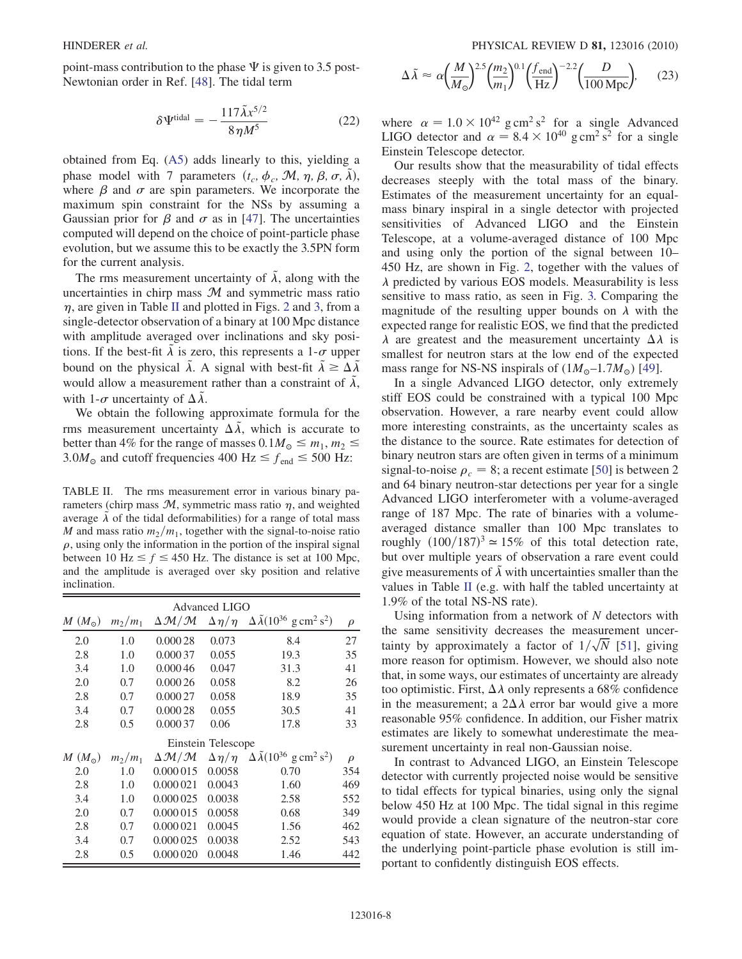point-mass contribution to the phase  $\Psi$  is given to 3.5 post-Newtonian order in Ref. [\[48\]](#page-11-37). The tidal term

$$
\delta \Psi^{\text{tidal}} = -\frac{117 \tilde{\lambda} x^{5/2}}{8 \eta M^5} \tag{22}
$$

obtained from Eq. ([A5\)](#page-9-0) adds linearly to this, yielding a phase model with 7 parameters  $(t_c, \phi_c, \mathcal{M}, \eta, \beta, \sigma, \tilde{\lambda})$ ,<br>where  $\beta$  and  $\sigma$  are spin parameters. We incorporate the where  $\beta$  and  $\sigma$  are spin parameters. We incorporate the maximum spin constraint for the NSs by assuming a Gaussian prior for  $\beta$  and  $\sigma$  as in [\[47](#page-11-34)]. The uncertainties computed will depend on the choice of point-particle phase evolution, but we assume this to be exactly the 3.5PN form for the current analysis.

The rms measurement uncertainty of  $\tilde{\lambda}$ , along with the uncertainties in chirp mass  $M$  and symmetric mass ratio  $\eta$ , are given in Table [II](#page-7-0) and plotted in Figs. [2](#page-4-0) and [3](#page-5-2), from a single-detector observation of a binary at 100 Mpc distance with amplitude averaged over inclinations and sky positions. If the best-fit  $\tilde{\lambda}$  is zero, this represents a 1- $\sigma$  upper bound on the physical  $\tilde{\lambda}$ . A signal with best-fit  $\tilde{\lambda} \geq \Delta \tilde{\lambda}$ would allow a measurement rather than a constraint of  $\lambda$ , with 1- $\sigma$  uncertainty of  $\Delta \lambda$ .

We obtain the following approximate formula for the rms measurement uncertainty  $\Delta \lambda$ , which is accurate to better than 4% for the range of masses  $0.1M_{\odot} \le m_1$ ,  $m_2 \le$  3 0*M*, and cutoff frequencies 400 Hz  $\lt f$ ,  $\lt$  500 Hz. 3.0 $M_{\odot}$  and cutoff frequencies 400 Hz  $\leq f_{\text{end}} \leq 500$  Hz:

<span id="page-7-0"></span>TABLE II. The rms measurement error in various binary parameters (chirp mass  $M$ , symmetric mass ratio  $\eta$ , and weighted average  $\lambda$  of the tidal deformabilities) for a range of total mass M and mass ratio  $m_2/m_1$ , together with the signal-to-noise ratio  $\rho$ , using only the information in the portion of the inspiral signal between 10 Hz  $\leq f \leq 450$  Hz. The distance is set at 100 Mpc, and the amplitude is averaged over sky position and relative inclination.

| Advanced LIGO      |           |                                    |                      |                                                                                    |        |  |  |
|--------------------|-----------|------------------------------------|----------------------|------------------------------------------------------------------------------------|--------|--|--|
| $M(M_{\odot})$     | $m_2/m_1$ | $\Delta \mathcal{M} / \mathcal{M}$ | $\Delta \eta / \eta$ | $\Delta \tilde{\lambda} (10^{36} \text{ g cm}^2 \text{ s}^2)$                      | $\rho$ |  |  |
| 2.0                | 1.0       | 0.00028                            | 0.073                | 8.4                                                                                | 27     |  |  |
| 2.8                | 1.0       | 0.00037                            | 0.055                | 19.3                                                                               | 35     |  |  |
| 3.4                | 1.0       | 0.00046                            | 0.047                | 31.3                                                                               | 41     |  |  |
| 2.0                | 0.7       | 0.00026                            | 0.058                | 8.2                                                                                | 26     |  |  |
| 2.8                | 0.7       | 0.00027                            | 0.058                | 18.9                                                                               | 35     |  |  |
| 3.4                | 0.7       | 0.00028                            | 0.055                | 30.5                                                                               | 41     |  |  |
| 2.8                | 0.5       | 0.00037                            | 0.06                 | 17.8                                                                               | 33     |  |  |
| Einstein Telescope |           |                                    |                      |                                                                                    |        |  |  |
| $M(M_{\odot})$     | $m_2/m_1$ | $\Delta \mathcal{M} / \mathcal{M}$ |                      | $\Delta \eta / \eta$ $\Delta \tilde{\lambda} (10^{36} \text{ g cm}^2 \text{ s}^2)$ | $\rho$ |  |  |
| 2.0                | 1.0       | 0.000015                           | 0.0058               | 0.70                                                                               | 354    |  |  |
| 2.8                | 1.0       | 0.000021                           | 0.0043               | 1.60                                                                               | 469    |  |  |
| 3.4                | 1.0       | 0.000025                           | 0.0038               | 2.58                                                                               | 552    |  |  |
| 2.0                | 0.7       | 0.000015                           | 0.0058               | 0.68                                                                               | 349    |  |  |
| 2.8                | 0.7       | 0.000021                           | 0.0045               | 1.56                                                                               | 462    |  |  |
| 3.4                | 0.7       | 0.000025                           | 0.0038               | 2.52                                                                               | 543    |  |  |
| 2.8                | 0.5       | 0.000020                           | 0.0048               | 1.46                                                                               | 442    |  |  |

<span id="page-7-1"></span>
$$
\Delta \tilde{\lambda} \approx \alpha \left(\frac{M}{M_{\odot}}\right)^{2.5} \left(\frac{m_2}{m_1}\right)^{0.1} \left(\frac{f_{\text{end}}}{\text{Hz}}\right)^{-2.2} \left(\frac{D}{100 \text{ Mpc}}\right), \quad (23)
$$

where  $\alpha = 1.0 \times 10^{42}$  g cm<sup>2</sup> s<sup>2</sup> for a single Advanced LIGO detector and  $\alpha = 8.4 \times 10^{40}$  g cm<sup>2</sup> s<sup>2</sup> for a single Einstein Telescope detector.

Our results show that the measurability of tidal effects decreases steeply with the total mass of the binary. Estimates of the measurement uncertainty for an equalmass binary inspiral in a single detector with projected sensitivities of Advanced LIGO and the Einstein Telescope, at a volume-averaged distance of 100 Mpc and using only the portion of the signal between 10– 450 Hz, are shown in Fig. [2,](#page-4-0) together with the values of  $\lambda$  predicted by various EOS models. Measurability is less sensitive to mass ratio, as seen in Fig. [3.](#page-5-2) Comparing the magnitude of the resulting upper bounds on  $\lambda$  with the expected range for realistic EOS, we find that the predicted  $\lambda$  are greatest and the measurement uncertainty  $\Delta \lambda$  is smallest for neutron stars at the low end of the expected mass range for NS-NS inspirals of  $(1M_{\odot} - 1.7M_{\odot})$  [[49\]](#page-11-38).<br>In a single Advanced LIGO detector, only extrem

In a single Advanced LIGO detector, only extremely stiff EOS could be constrained with a typical 100 Mpc observation. However, a rare nearby event could allow more interesting constraints, as the uncertainty scales as the distance to the source. Rate estimates for detection of binary neutron stars are often given in terms of a minimum signal-to-noise  $\rho_c = 8$ ; a recent estimate [[50](#page-11-39)] is between 2 and 64 binary neutron-star detections per year for a single Advanced LIGO interferometer with a volume-averaged range of 187 Mpc. The rate of binaries with a volumeaveraged distance smaller than 100 Mpc translates to roughly  $(100/187)^3 \approx 15\%$  of this total detection rate,<br>but over multiple years of observation a rare event could but over multiple years of observation a rare event could give measurements of  $\tilde{\lambda}$  with uncertainties smaller than the values in Table [II](#page-7-0) (e.g. with half the tabled uncertainty at 1.9% of the total NS-NS rate).

Using information from a network of N detectors with the same sensitivity decreases the measurement uncertainty by approximately a factor of  $1/\sqrt{N}$  [[51](#page-11-40)], giving more reason for optimism. However, we should also note that, in some ways, our estimates of uncertainty are already too optimistic. First,  $\Delta \lambda$  only represents a 68% confidence in the measurement; a  $2\Delta\lambda$  error bar would give a more reasonable 95% confidence. In addition, our Fisher matrix estimates are likely to somewhat underestimate the measurement uncertainty in real non-Gaussian noise.

In contrast to Advanced LIGO, an Einstein Telescope detector with currently projected noise would be sensitive to tidal effects for typical binaries, using only the signal below 450 Hz at 100 Mpc. The tidal signal in this regime would provide a clean signature of the neutron-star core equation of state. However, an accurate understanding of the underlying point-particle phase evolution is still important to confidently distinguish EOS effects.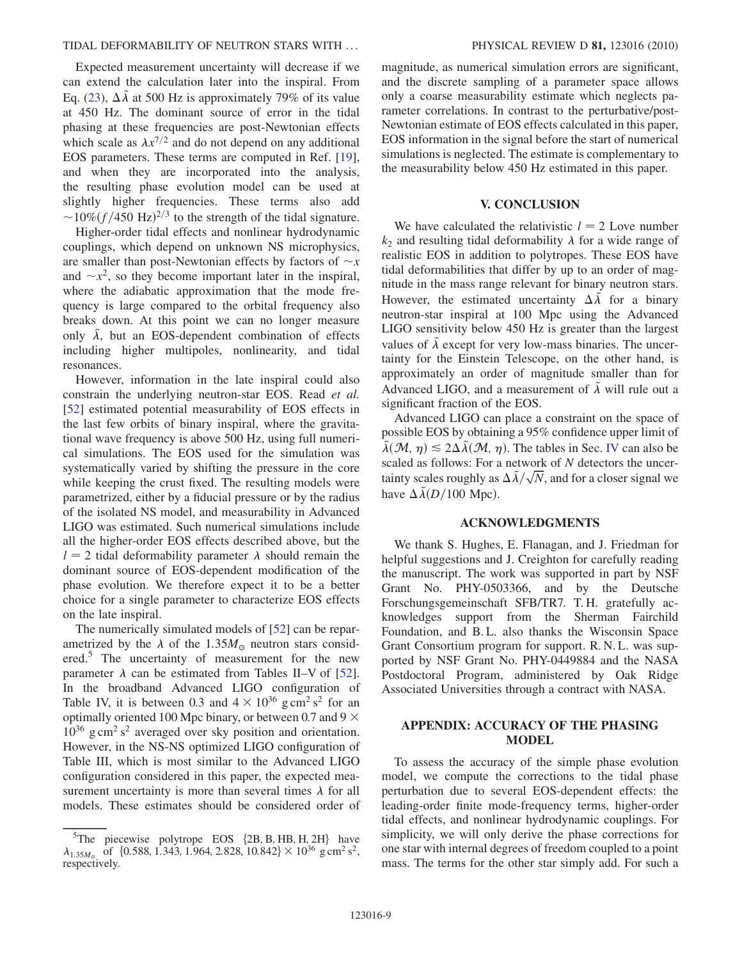#### TIDAL DEFORMABILITY OF NEUTRON STARS WITH ... PHYSICAL REVIEW D 81, 123016 (2010)

Expected measurement uncertainty will decrease if we can extend the calculation later into the inspiral. From Eq. ([23](#page-7-1)),  $\Delta \lambda$  at 500 Hz is approximately 79% of its value at 450 Hz. The dominant source of error in the tidal phasing at these frequencies are post-Newtonian effects which scale as  $\lambda x^{7/2}$  and do not depend on any additional EOS parameters. These terms are computed in Ref. [\[19\]](#page-11-10), and when they are incorporated into the analysis, the resulting phase evolution model can be used at slightly higher frequencies. These terms also add  $\sim$ 10% $(f/450 \text{ Hz})^{2/3}$  to the strength of the tidal signature.<br>Higher-order tidal effects and nonlinear hydrodynamic

Higher-order tidal effects and nonlinear hydrodynamic couplings, which depend on unknown NS microphysics, are smaller than post-Newtonian effects by factors of  $\sim x$ and  $\sim x^2$ , so they become important later in the inspiral, where the adiabatic approximation that the mode frequency is large compared to the orbital frequency also breaks down. At this point we can no longer measure only  $\lambda$ , but an EOS-dependent combination of effects including higher multipoles, nonlinearity, and tidal resonances.

However, information in the late inspiral could also constrain the underlying neutron-star EOS. Read et al. [\[52\]](#page-11-41) estimated potential measurability of EOS effects in the last few orbits of binary inspiral, where the gravitational wave frequency is above 500 Hz, using full numerical simulations. The EOS used for the simulation was systematically varied by shifting the pressure in the core while keeping the crust fixed. The resulting models were parametrized, either by a fiducial pressure or by the radius of the isolated NS model, and measurability in Advanced LIGO was estimated. Such numerical simulations include all the higher-order EOS effects described above, but the  $l = 2$  tidal deformability parameter  $\lambda$  should remain the dominant source of EOS-dependent modification of the phase evolution. We therefore expect it to be a better choice for a single parameter to characterize EOS effects on the late inspiral.

The numerically simulated models of [[52](#page-11-41)] can be reparametrized by the  $\lambda$  of the 1.35 $M_{\odot}$  neutron stars considered  $\frac{5}{2}$ . The uncertainty of measurement for the new ered.<sup>5</sup> The uncertainty of measurement for the new parameter  $\lambda$  can be estimated from Tables II–V of [[52\]](#page-11-41). In the broadband Advanced LIGO configuration of Table IV, it is between 0.3 and  $4 \times 10^{36}$  g cm<sup>2</sup> s<sup>2</sup> for an optimally oriented 100 Mpc binary, or between 0.7 and 9  $\times$  $10^{36}$  g cm<sup>2</sup> s<sup>2</sup> averaged over sky position and orientation. However, in the NS-NS optimized LIGO configuration of Table III, which is most similar to the Advanced LIGO configuration considered in this paper, the expected measurement uncertainty is more than several times  $\lambda$  for all models. These estimates should be considered order of

magnitude, as numerical simulation errors are significant, and the discrete sampling of a parameter space allows only a coarse measurability estimate which neglects parameter correlations. In contrast to the perturbative/post-Newtonian estimate of EOS effects calculated in this paper, EOS information in the signal before the start of numerical simulations is neglected. The estimate is complementary to the measurability below 450 Hz estimated in this paper.

#### V. CONCLUSION

We have calculated the relativistic  $l = 2$  Love number  $k<sub>2</sub>$  and resulting tidal deformability  $\lambda$  for a wide range of realistic EOS in addition to polytropes. These EOS have tidal deformabilities that differ by up to an order of magnitude in the mass range relevant for binary neutron stars. However, the estimated uncertainty  $\Delta \tilde{\lambda}$  for a binary neutron-star inspiral at 100 Mpc using the Advanced LIGO sensitivity below 450 Hz is greater than the largest values of  $\lambda$  except for very low-mass binaries. The uncertainty for the Einstein Telescope, on the other hand, is approximately an order of magnitude smaller than for Advanced LIGO, and a measurement of  $\tilde{\lambda}$  will rule out a significant fraction of the EOS.

Advanced LIGO can place a constraint on the space of possible EOS by obtaining a 95% confidence upper limit of  $\tilde{\lambda}(\mathcal{M}, \eta) \le 2\Delta \tilde{\lambda}(\mathcal{M}, \eta)$ . The tables in Sec. IV can also be scaled as follows: For a network of N detectors the uncerscaled as follows: For a network of N detectors the uncertainty scales roughly as  $\Delta\tilde{\lambda}/\sqrt{N},$  and for a closer signal we have  $\Delta \tilde{\lambda}(D/100 \text{ Mpc})$ .

#### ACKNOWLEDGMENTS

We thank S. Hughes, E. Flanagan, and J. Friedman for helpful suggestions and J. Creighton for carefully reading the manuscript. The work was supported in part by NSF Grant No. PHY-0503366, and by the Deutsche Forschungsgemeinschaft SFB/TR7. T. H. gratefully acknowledges support from the Sherman Fairchild Foundation, and B. L. also thanks the Wisconsin Space Grant Consortium program for support. R. N. L. was supported by NSF Grant No. PHY-0449884 and the NASA Postdoctoral Program, administered by Oak Ridge Associated Universities through a contract with NASA.

## APPENDIX: ACCURACY OF THE PHASING MODEL

To assess the accuracy of the simple phase evolution model, we compute the corrections to the tidal phase perturbation due to several EOS-dependent effects: the leading-order finite mode-frequency terms, higher-order tidal effects, and nonlinear hydrodynamic couplings. For simplicity, we will only derive the phase corrections for one star with internal degrees of freedom coupled to a point mass. The terms for the other star simply add. For such a

<sup>&</sup>lt;sup>5</sup>The piecewise polytrope EOS {2B, B, HB, H, 2H} have  $0.588, 1.343, 1.964, 2.828, 10.842$ }  $\times 10^{36}$  g cm<sup>2</sup> s<sup>2</sup>.  $\lambda_{1.35M_{\odot}}$  of {0.588, 1.343, 1.964, 2.828, 10.842} × 10<sup>36</sup> g cm<sup>2</sup> s<sup>2</sup>, respectively. respectively.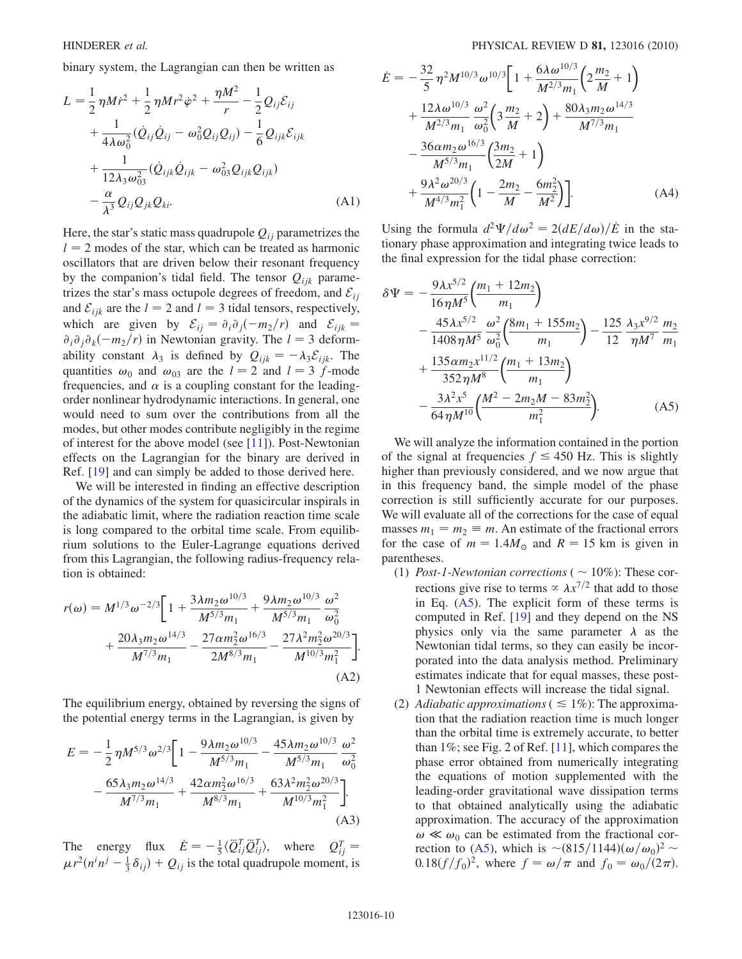binary system, the Lagrangian can then be written as

$$
L = \frac{1}{2} \eta M \dot{r}^2 + \frac{1}{2} \eta M \dot{r}^2 \dot{\varphi}^2 + \frac{\eta M^2}{r} - \frac{1}{2} Q_{ij} \mathcal{E}_{ij} + \frac{1}{4 \lambda \omega_0^2} (\dot{Q}_{ij} \dot{Q}_{ij} - \omega_0^2 Q_{ij} Q_{ij}) - \frac{1}{6} Q_{ijk} \mathcal{E}_{ijk} + \frac{1}{12 \lambda_3 \omega_{03}^2} (\dot{Q}_{ijk} \dot{Q}_{ijk} - \omega_{03}^2 Q_{ijk} Q_{ijk}) - \frac{\alpha}{\lambda^3} Q_{ij} Q_{jk} Q_{ki}.
$$
 (A1)

Here, the star's static mass quadrupole  $Q_{ij}$  parametrizes the  $l = 2$  modes of the star, which can be treated as harmonic oscillators that are driven below their resonant frequency by the companion's tidal field. The tensor  $Q_{ijk}$  parametrizes the star's mass octupole degrees of freedom, and  $\mathcal{E}_{ij}$ and  $\mathcal{E}_{ijk}$  are the  $l = 2$  and  $l = 3$  tidal tensors, respectively, which are given by  $\mathcal{E}_{ij} = \partial_i \partial_j (-m_2/r)$  and  $\mathcal{E}_{ijk} =$  $\partial_i \partial_j \partial_k (-m_2/r)$  in Newtonian gravity. The  $l = 3$  deformability constant  $\lambda_3$  is defined by  $Q_{ijk} = -\lambda_3 \mathcal{E}_{ijk}$ . The quantities  $\omega_0$  and  $\omega_{03}$  are the  $l = 2$  and  $l = 3$  f-mode frequencies, and  $\alpha$  is a coupling constant for the leadingorder nonlinear hydrodynamic interactions. In general, one would need to sum over the contributions from all the modes, but other modes contribute negligibly in the regime of interest for the above model (see [\[11\]](#page-11-3)). Post-Newtonian effects on the Lagrangian for the binary are derived in Ref. [\[19\]](#page-11-10) and can simply be added to those derived here.

We will be interested in finding an effective description of the dynamics of the system for quasicircular inspirals in the adiabatic limit, where the radiation reaction time scale is long compared to the orbital time scale. From equilibrium solutions to the Euler-Lagrange equations derived from this Lagrangian, the following radius-frequency relation is obtained:

$$
r(\omega) = M^{1/3} \omega^{-2/3} \left[ 1 + \frac{3\lambda m_2 \omega^{10/3}}{M^{5/3} m_1} + \frac{9\lambda m_2 \omega^{10/3}}{M^{5/3} m_1} \frac{\omega^2}{\omega_0^2} + \frac{20\lambda_3 m_2 \omega^{14/3}}{M^{7/3} m_1} - \frac{27\alpha m_2^2 \omega^{16/3}}{2M^{8/3} m_1} - \frac{27\lambda^2 m_2^2 \omega^{20/3}}{M^{10/3} m_1^2} \right].
$$
\n(A2)

The equilibrium energy, obtained by reversing the signs of the potential energy terms in the Lagrangian, is given by

$$
E = -\frac{1}{2} \eta M^{5/3} \omega^{2/3} \left[ 1 - \frac{9\lambda m_2 \omega^{10/3}}{M^{5/3} m_1} - \frac{45\lambda m_2 \omega^{10/3}}{M^{5/3} m_1} \frac{\omega^2}{\omega_0^2} - \frac{65\lambda_3 m_2 \omega^{14/3}}{M^{7/3} m_1} + \frac{42\alpha m_2^2 \omega^{16/3}}{M^{8/3} m_1} + \frac{63\lambda^2 m_2^2 \omega^{20/3}}{M^{10/3} m_1^2} \right].
$$
\n(A3)

The energy flux  $\vec{E} = -\frac{1}{5} \langle \vec{Q}_{ij}^T \vec{Q}_{ij}^T \rangle$ , where  $Q_{ij}^T$ if the energy flux  $E = \frac{1}{5} \sqrt{2} i j \sqrt{2} i j$ , where  $Q_{ij} = \mu r^2 (n^i n^j - \frac{1}{3} \delta_{ij}) + Q_{ij}$  is the total quadrupole moment, is

$$
\dot{E} = -\frac{32}{5} \eta^2 M^{10/3} \omega^{10/3} \left[ 1 + \frac{6\lambda \omega^{10/3}}{M^{2/3} m_1} \left( 2\frac{m_2}{M} + 1 \right) \right. \left. + \frac{12\lambda \omega^{10/3}}{M^{2/3} m_1} \frac{\omega^2}{\omega_0^2} \left( 3\frac{m_2}{M} + 2 \right) + \frac{80\lambda_3 m_2 \omega^{14/3}}{M^{7/3} m_1} \right. \left. - \frac{36\alpha m_2 \omega^{16/3}}{M^{5/3} m_1} \left( \frac{3m_2}{2M} + 1 \right) \right. \left. + \frac{9\lambda^2 \omega^{20/3}}{M^{4/3} m_1^2} \left( 1 - \frac{2m_2}{M} - \frac{6m_2^2}{M^2} \right) \right].
$$
\n(A4)

Using the formula  $d^2\Psi/d\omega^2=2(dE/d\omega)/\dot{E}$  in the stationary phase approximation and integrating twice leads to the final expression for the tidal phase correction:

<span id="page-9-0"></span>
$$
\delta\Psi = -\frac{9\lambda x^{5/2}}{16\eta M^5} \left(\frac{m_1 + 12m_2}{m_1}\right)
$$
  
 
$$
-\frac{45\lambda x^{5/2}}{1408\eta M^5} \frac{\omega^2}{\omega_0^2} \left(\frac{8m_1 + 155m_2}{m_1}\right) - \frac{125}{12} \frac{\lambda_3 x^{9/2}}{\eta M^7} \frac{m_2}{m_1}
$$
  
 
$$
+\frac{135\alpha m_2 x^{11/2}}{352\eta M^8} \left(\frac{m_1 + 13m_2}{m_1}\right)
$$
  
 
$$
-\frac{3\lambda^2 x^5}{64\eta M^{10}} \left(\frac{M^2 - 2m_2 M - 83m_2^2}{m_1^2}\right).
$$
 (A5)

We will analyze the information contained in the portion of the signal at frequencies  $f \leq 450$  Hz. This is slightly higher than previously considered, and we now argue that in this frequency band, the simple model of the phase correction is still sufficiently accurate for our purposes. We will evaluate all of the corrections for the case of equal masses  $m_1 = m_2 \equiv m$ . An estimate of the fractional errors<br>for the case of  $m = 1.4 M$ , and  $R = 15$  km is given in for the case of  $m = 1.4M_{\odot}$  and  $R = 15$  km is given in parentheses parentheses.

- (1) Post-1-Newtonian corrections ( $\sim 10\%$ ): These corrections give rise to terms  $\propto \lambda x^{7/2}$  that add to those in Eq. [\(A5](#page-9-0)). The explicit form of these terms is computed in Ref. [\[19\]](#page-11-10) and they depend on the NS physics only via the same parameter  $\lambda$  as the Newtonian tidal terms, so they can easily be incorporated into the data analysis method. Preliminary estimates indicate that for equal masses, these post-1 Newtonian effects will increase the tidal signal.
- (2) Adiabatic approximations ( $\leq 1\%$ ): The approximation that the radiation reaction time is much longer than the orbital time is extremely accurate, to better than 1%; see Fig. 2 of Ref. [\[11\]](#page-11-3), which compares the phase error obtained from numerically integrating the equations of motion supplemented with the leading-order gravitational wave dissipation terms to that obtained analytically using the adiabatic approximation. The accuracy of the approximation  $\omega \ll \omega_0$  can be estimated from the fractional cor-rection to ([A5](#page-9-0)), which is  $\sim (815/1144)(\omega/\omega_0)^2$ <br>0.18(f/f)<sup>2</sup> where  $f = \omega/\pi$  and  $f_0 = \omega_0/(2\pi)$  $0.18(f/f_0)^2$ , where  $f = \omega/\pi$  and  $f_0 = \omega_0/(2\pi)$ .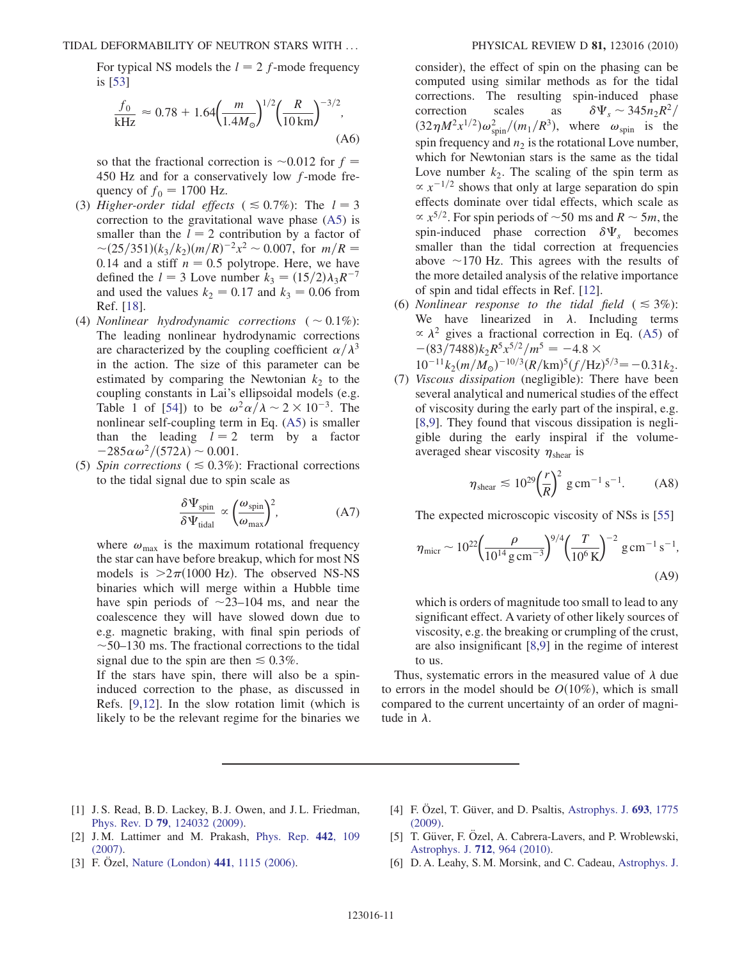TIDAL DEFORMABILITY OF NEUTRON STARS WITH ... PHYSICAL REVIEW D 81, 123016 (2010)

For typical NS models the  $l = 2$  f-mode frequency is [\[53\]](#page-11-42)

$$
\frac{f_0}{\text{kHz}} \approx 0.78 + 1.64 \left(\frac{m}{1.4 M_\odot}\right)^{1/2} \left(\frac{R}{10 \text{ km}}\right)^{-3/2},\tag{A6}
$$

so that the fractional correction is  $\sim 0.012$  for  $f =$ 450 Hz and for a conservatively low  $f$ -mode frequency of  $f_0 = 1700$  Hz.

- (3) Higher-order tidal effects ( $\leq 0.7\%$ ): The  $l = 3$ correction to the gravitational wave phase ([A5\)](#page-9-0) is smaller than the  $l = 2$  contribution by a factor of  $\sim (25/351)(k_3/k_2)(m/R)^{-2}x^2 \sim 0.007$ , for  $m/R = 0.14$  and a stiff  $n = 0.5$  polytrone. Here, we have 0.14 and a stiff  $n = 0.5$  polytrope. Here, we have defined the  $l = 3$  Love number  $k_3 = (15/2)\lambda_3 R^{-7}$ and used the values  $k_2 = 0.17$  and  $k_3 = 0.06$  from Ref. [\[18\]](#page-11-9).
- (4) Nonlinear hydrodynamic corrections  $(\sim 0.1\%)$ : The leading nonlinear hydrodynamic corrections are characterized by the coupling coefficient  $\alpha/\lambda^3$ in the action. The size of this parameter can be estimated by comparing the Newtonian  $k_2$  to the coupling constants in Lai's ellipsoidal models (e.g. Table 1 of [[54](#page-11-43)]) to be  $\omega^2 \alpha / \lambda \sim 2 \times 10^{-3}$ . The nonlinear self-coupling term in Eq. [\(A5](#page-9-0)) is smaller than the leading  $l = 2$  term by a factor  $-285\alpha\omega^2/(572\lambda) \sim 0.001$ .
- (5) Spin corrections ( $\leq 0.3\%$ ): Fractional corrections to the tidal signal due to spin scale as

$$
\frac{\delta \Psi_{spin}}{\delta \Psi_{tidal}} \propto \left(\frac{\omega_{spin}}{\omega_{max}}\right)^2, \tag{A7}
$$

where  $\omega_{\text{max}}$  is the maximum rotational frequency the star can have before breakup, which for most NS models is  $>2\pi(1000 \text{ Hz})$ . The observed NS-NS binaries which will merge within a Hubble time have spin periods of  $\sim$ 23–104 ms, and near the coalescence they will have slowed down due to e.g. magnetic braking, with final spin periods of  $\sim$  50–130 ms. The fractional corrections to the tidal signal due to the spin are then  $\leq 0.3\%$ .

If the stars have spin, there will also be a spininduced correction to the phase, as discussed in Refs. [[9](#page-11-30),[12](#page-11-4)]. In the slow rotation limit (which is likely to be the relevant regime for the binaries we consider), the effect of spin on the phasing can be computed using similar methods as for the tidal corrections. The resulting spin-induced phase correction scales as  $\delta \Psi_s \sim 345 n_2 R^2/(32 m^2 r^{1/2}) \omega^2/(m^2 R^3)$  where  $\omega$  is the  $(32\eta M^2 x^{1/2}) \omega_{\text{spin}}^2/(m_1/R^3)$ , where  $\omega_{\text{spin}}$  is the spin frequency and  $n_2$  is the rotational Love number, which for Newtonian stars is the same as the tidal Love number  $k_2$ . The scaling of the spin term as  $\propto x^{-1/2}$  shows that only at large separation do spin effects dominate over tidal effects, which scale as  $\propto x^{5/2}$ . For spin periods of  $\sim$  50 ms and  $R \sim 5m$ , the spin-induced phase correction  $\delta \Psi_{s}$  becomes smaller than the tidal correction at frequencies above  $\sim$ 170 Hz. This agrees with the results of the more detailed analysis of the relative importance of spin and tidal effects in Ref. [\[12\]](#page-11-4).

- (6) Nonlinear response to the tidal field  $( \leq 3\%)$ : We have linearized in  $\lambda$ . Including terms  $\propto \lambda^2$  gives a fractional correction in Eq. ([A5](#page-9-0)) of  $-(83/7488)k_2R^5x^{5/2}/m^5 = -4.8 \times$  $10^{-11}k_2(m/M_\odot)^{-10/3}(R/\text{km})^5(f/\text{Hz})^{5/3} = -0.31k_2.$ <br>Viscous dissination (negligible): There have been
- (7) Viscous dissipation (negligible): There have been several analytical and numerical studies of the effect of viscosity during the early part of the inspiral, e.g. [\[8,](#page-11-1)[9](#page-11-30)]. They found that viscous dissipation is negligible during the early inspiral if the volumeaveraged shear viscosity  $\eta_{\rm shear}$  is

$$
\eta_{\text{shear}} \lesssim 10^{29} \left(\frac{r}{R}\right)^2 \text{ g cm}^{-1} \text{ s}^{-1}.\tag{A8}
$$

The expected microscopic viscosity of NSs is [[55](#page-11-44)]

$$
\eta_{\text{micro}} \sim 10^{22} \left(\frac{\rho}{10^{14} \,\text{g cm}^{-3}}\right)^{9/4} \left(\frac{T}{10^6 \,\text{K}}\right)^{-2} \,\text{g cm}^{-1} \,\text{s}^{-1},\tag{A9}
$$

which is orders of magnitude too small to lead to any significant effect. A variety of other likely sources of viscosity, e.g. the breaking or crumpling of the crust, are also insignificant [[8](#page-11-1)[,9\]](#page-11-30) in the regime of interest to us.

Thus, systematic errors in the measured value of  $\lambda$  due to errors in the model should be  $O(10\%)$ , which is small compared to the current uncertainty of an order of magnitude in  $\lambda$ .

- <span id="page-10-0"></span>[1] J. S. Read, B. D. Lackey, B. J. Owen, and J. L. Friedman, Phys. Rev. D 79[, 124032 \(2009\).](http://dx.doi.org/10.1103/PhysRevD.79.124032)
- <span id="page-10-1"></span>[2] J. M. Lattimer and M. Prakash, [Phys. Rep.](http://dx.doi.org/10.1016/j.physrep.2007.02.003) 442, 109 [\(2007\)](http://dx.doi.org/10.1016/j.physrep.2007.02.003).
- <span id="page-10-2"></span>[3] F. Özel, [Nature \(London\)](http://dx.doi.org/10.1038/nature04858)  $441$ , 1115 (2006).
- [4] F. Özel, T. Güver, and D. Psaltis, [Astrophys. J.](http://dx.doi.org/10.1088/0004-637X/693/2/1775) 693, 1775 [\(2009\)](http://dx.doi.org/10.1088/0004-637X/693/2/1775).
- [5] T. Güver, F. Özel, A. Cabrera-Lavers, and P. Wroblewski, [Astrophys. J.](http://dx.doi.org/10.1088/0004-637X/712/2/964) 712, 964 (2010).
- [6] D. A. Leahy, S. M. Morsink, and C. Cadeau, [Astrophys. J.](http://dx.doi.org/10.1086/523794)